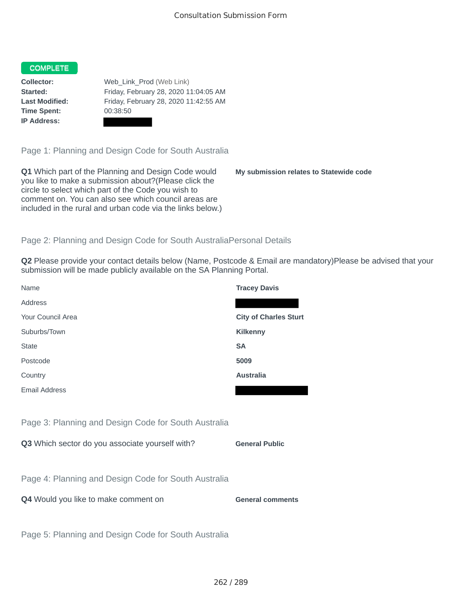# COMPLETE

**Time Spent:** 00:38:50 **IP Address:**

**Collector:** Web\_Link\_Prod (Web Link) **Started:** Friday, February 28, 2020 11:04:05 AM **Last Modified:** Friday, February 28, 2020 11:42:55 AM

Page 1: Planning and Design Code for South Australia

**Q1** Which part of the Planning and Design Code would you like to make a submission about?(Please click the circle to select which part of the Code you wish to comment on. You can also see which council areas are included in the rural and urban code via the links below.)

**My submission relates to Statewide code**

# Page 2: Planning and Design Code for South AustraliaPersonal Details

**Q2** Please provide your contact details below (Name, Postcode & Email are mandatory)Please be advised that your submission will be made publicly available on the SA Planning Portal.

| Name                                                 | <b>Tracey Davis</b>          |
|------------------------------------------------------|------------------------------|
| Address                                              |                              |
| Your Council Area                                    | <b>City of Charles Sturt</b> |
| Suburbs/Town                                         | <b>Kilkenny</b>              |
| <b>State</b>                                         | <b>SA</b>                    |
| Postcode                                             | 5009                         |
| Country                                              | <b>Australia</b>             |
| <b>Email Address</b>                                 |                              |
|                                                      |                              |
| Page 3: Planning and Design Code for South Australia |                              |
| Q3 Which sector do you associate yourself with?      | <b>General Public</b>        |
|                                                      |                              |
| Page 4: Planning and Design Code for South Australia |                              |
| Q4 Would you like to make comment on                 | <b>General comments</b>      |
|                                                      |                              |
| Page 5: Planning and Design Code for South Australia |                              |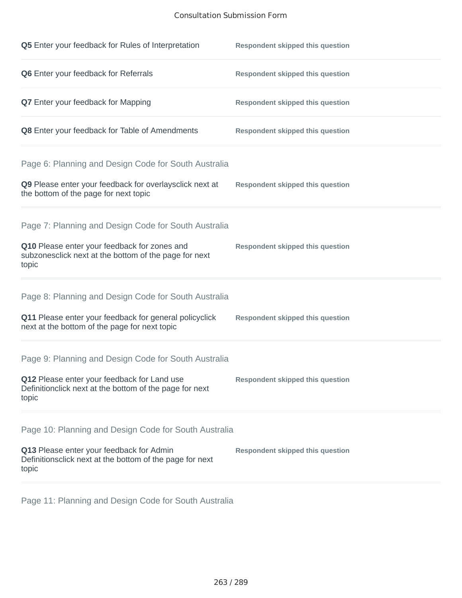# Consultation Submission Form

| Q5 Enter your feedback for Rules of Interpretation                                                              | <b>Respondent skipped this question</b> |
|-----------------------------------------------------------------------------------------------------------------|-----------------------------------------|
| Q6 Enter your feedback for Referrals                                                                            | <b>Respondent skipped this question</b> |
| <b>Q7</b> Enter your feedback for Mapping                                                                       | <b>Respondent skipped this question</b> |
| Q8 Enter your feedback for Table of Amendments                                                                  | <b>Respondent skipped this question</b> |
| Page 6: Planning and Design Code for South Australia                                                            |                                         |
| Q9 Please enter your feedback for overlaysclick next at<br>the bottom of the page for next topic                | <b>Respondent skipped this question</b> |
| Page 7: Planning and Design Code for South Australia                                                            |                                         |
| Q10 Please enter your feedback for zones and<br>subzonesclick next at the bottom of the page for next<br>topic  | <b>Respondent skipped this question</b> |
| Page 8: Planning and Design Code for South Australia                                                            |                                         |
| Q11 Please enter your feedback for general policyclick<br>next at the bottom of the page for next topic         | <b>Respondent skipped this question</b> |
| Page 9: Planning and Design Code for South Australia                                                            |                                         |
| Q12 Please enter your feedback for Land use<br>Definitionclick next at the bottom of the page for next<br>topic | <b>Respondent skipped this question</b> |
| Page 10: Planning and Design Code for South Australia                                                           |                                         |
| Q13 Please enter your feedback for Admin<br>Definitionsclick next at the bottom of the page for next<br>topic   | <b>Respondent skipped this question</b> |

Page 11: Planning and Design Code for South Australia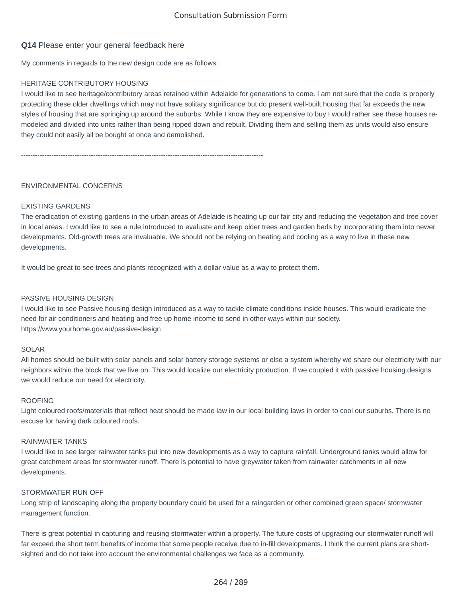# **Q14** Please enter your general feedback here

My comments in regards to the new design code are as follows:

# HERITAGE CONTRIBUTORY HOUSING

I would like to see heritage/contributory areas retained within Adelaide for generations to come. I am not sure that the code is properly protecting these older dwellings which may not have solitary significance but do present well-built housing that far exceeds the new styles of housing that are springing up around the suburbs. While I know they are expensive to buy I would rather see these houses remodeled and divided into units rather than being ripped down and rebuilt. Dividing them and selling them as units would also ensure they could not easily all be bought at once and demolished.

--------------------------------------------------------------------------------------------------------

### ENVIRONMENTAL CONCERNS

### EXISTING GARDENS

The eradication of existing gardens in the urban areas of Adelaide is heating up our fair city and reducing the vegetation and tree cover in local areas. I would like to see a rule introduced to evaluate and keep older trees and garden beds by incorporating them into newer developments. Old-growth trees are invaluable. We should not be relying on heating and cooling as a way to live in these new developments.

It would be great to see trees and plants recognized with a dollar value as a way to protect them.

#### PASSIVE HOUSING DESIGN

I would like to see Passive housing design introduced as a way to tackle climate conditions inside houses. This would eradicate the need for air conditioners and heating and free up home income to send in other ways within our society. https://www.yourhome.gov.au/passive-design

### SOLAR

All homes should be built with solar panels and solar battery storage systems or else a system whereby we share our electricity with our neighbors within the block that we live on. This would localize our electricity production. If we coupled it with passive housing designs we would reduce our need for electricity.

#### ROOFING

Light coloured roofs/materials that reflect heat should be made law in our local building laws in order to cool our suburbs. There is no excuse for having dark coloured roofs.

### RAINWATER TANKS

I would like to see larger rainwater tanks put into new developments as a way to capture rainfall. Underground tanks would allow for great catchment areas for stormwater runoff. There is potential to have greywater taken from rainwater catchments in all new developments.

### STORMWATER RUN OFF

Long strip of landscaping along the property boundary could be used for a raingarden or other combined green space/ stormwater management function.

There is great potential in capturing and reusing stormwater within a property. The future costs of upgrading our stormwater runoff will far exceed the short term benefits of income that some people receive due to in-fill developments. I think the current plans are shortsighted and do not take into account the environmental challenges we face as a community.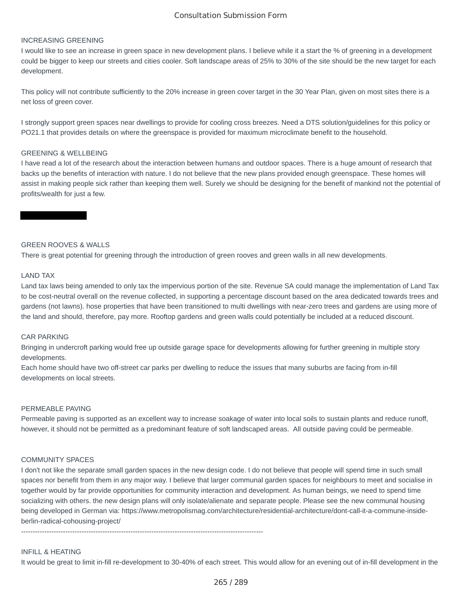# Consultation Submission Form

#### INCREASING GREENING

I would like to see an increase in green space in new development plans. I believe while it a start the % of greening in a development could be bigger to keep our streets and cities cooler. Soft landscape areas of 25% to 30% of the site should be the new target for each development.

This policy will not contribute sufficiently to the 20% increase in green cover target in the 30 Year Plan, given on most sites there is a net loss of green cover.

I strongly support green spaces near dwellings to provide for cooling cross breezes. Need a DTS solution/guidelines for this policy or PO21.1 that provides details on where the greenspace is provided for maximum microclimate benefit to the household.

### GREENING & WELLBEING

I have read a lot of the research about the interaction between humans and outdoor spaces. There is a huge amount of research that backs up the benefits of interaction with nature. I do not believe that the new plans provided enough greenspace. These homes will assist in making people sick rather than keeping them well. Surely we should be designing for the benefit of mankind not the potential of profits/wealth for just a few.

# GREEN ROOVES & WALLS

There is great potential for greening through the introduction of green rooves and green walls in all new developments.

### LAND TAX

Land tax laws being amended to only tax the impervious portion of the site. Revenue SA could manage the implementation of Land Tax to be cost-neutral overall on the revenue collected, in supporting a percentage discount based on the area dedicated towards trees and gardens (not lawns). hose properties that have been transitioned to multi dwellings with near-zero trees and gardens are using more of the land and should, therefore, pay more. Rooftop gardens and green walls could potentially be included at a reduced discount.

#### CAR PARKING

Bringing in undercroft parking would free up outside garage space for developments allowing for further greening in multiple story developments.

Each home should have two off-street car parks per dwelling to reduce the issues that many suburbs are facing from in-fill developments on local streets.

#### PERMEABLE PAVING

Permeable paving is supported as an excellent way to increase soakage of water into local soils to sustain plants and reduce runoff, however, it should not be permitted as a predominant feature of soft landscaped areas. All outside paving could be permeable.

### COMMUNITY SPACES

I don't not like the separate small garden spaces in the new design code. I do not believe that people will spend time in such small spaces nor benefit from them in any major way. I believe that larger communal garden spaces for neighbours to meet and socialise in together would by far provide opportunities for community interaction and development. As human beings, we need to spend time socializing with others. the new design plans will only isolate/alienate and separate people. Please see the new communal housing being developed in German via: https://www.metropolismag.com/architecture/residential-architecture/dont-call-it-a-commune-insideberlin-radical-cohousing-project/

--------------------------------------------------------------------------------------------------------

#### INFILL & HEATING

It would be great to limit in-fill re-development to 30-40% of each street. This would allow for an evening out of in-fill development in the